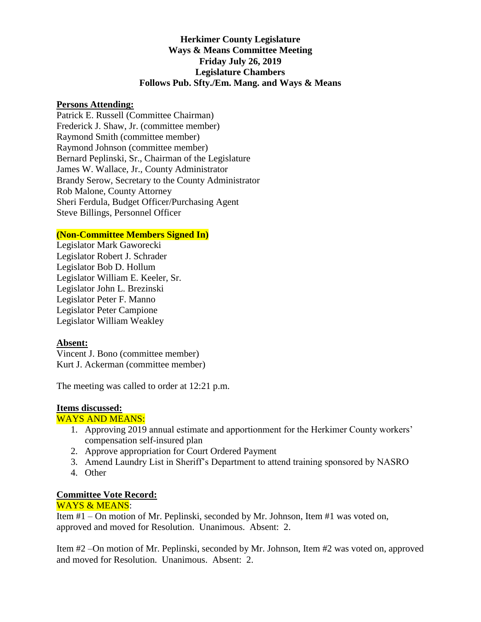### **Herkimer County Legislature Ways & Means Committee Meeting Friday July 26, 2019 Legislature Chambers Follows Pub. Sfty./Em. Mang. and Ways & Means**

#### **Persons Attending:**

Patrick E. Russell (Committee Chairman) Frederick J. Shaw, Jr. (committee member) Raymond Smith (committee member) Raymond Johnson (committee member) Bernard Peplinski, Sr., Chairman of the Legislature James W. Wallace, Jr., County Administrator Brandy Serow, Secretary to the County Administrator Rob Malone, County Attorney Sheri Ferdula, Budget Officer/Purchasing Agent Steve Billings, Personnel Officer

#### **(Non-Committee Members Signed In)**

Legislator Mark Gaworecki Legislator Robert J. Schrader Legislator Bob D. Hollum Legislator William E. Keeler, Sr. Legislator John L. Brezinski Legislator Peter F. Manno Legislator Peter Campione Legislator William Weakley

#### **Absent:**

Vincent J. Bono (committee member) Kurt J. Ackerman (committee member)

The meeting was called to order at 12:21 p.m.

#### **Items discussed:**

#### WAYS AND MEANS:

- 1. Approving 2019 annual estimate and apportionment for the Herkimer County workers' compensation self-insured plan
- 2. Approve appropriation for Court Ordered Payment
- 3. Amend Laundry List in Sheriff's Department to attend training sponsored by NASRO
- 4. Other

## **Committee Vote Record:**

# WAYS & MEANS:

Item #1 – On motion of Mr. Peplinski, seconded by Mr. Johnson, Item #1 was voted on, approved and moved for Resolution. Unanimous. Absent: 2.

Item #2 –On motion of Mr. Peplinski, seconded by Mr. Johnson, Item #2 was voted on, approved and moved for Resolution. Unanimous. Absent: 2.